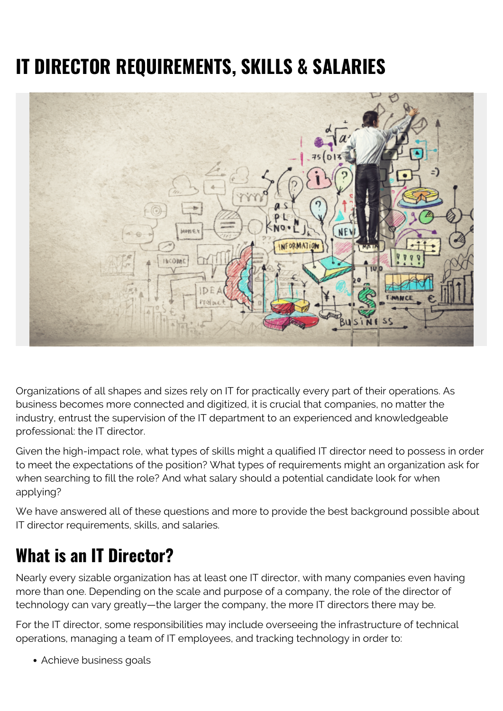# **IT DIRECTOR REQUIREMENTS, SKILLS & SALARIES**



Organizations of all shapes and sizes rely on IT for practically every part of their operations. As business becomes more connected and digitized, it is crucial that companies, no matter the industry, entrust the supervision of the IT department to an experienced and knowledgeable professional: the IT director.

Given the high-impact role, what types of skills might a qualified IT director need to possess in order to meet the expectations of the position? What types of requirements might an organization ask for when searching to fill the role? And what salary should a potential candidate look for when applying?

We have answered all of these questions and more to provide the best background possible about IT director requirements, skills, and salaries.

### **What is an IT Director?**

Nearly every sizable organization has at least one IT director, with many companies even having more than one. Depending on the scale and purpose of a company, the role of the director of technology can vary greatly—the larger the company, the more IT directors there may be.

For the IT director, some responsibilities may include overseeing the infrastructure of technical operations, managing a team of IT employees, and tracking technology in order to:

Achieve business goals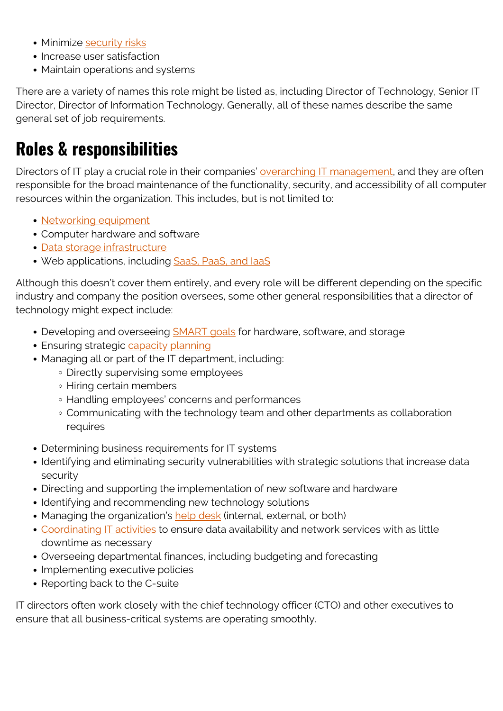- Minimize [security risks](https://blogs.bmc.com/blogs/security-vulnerability-vs-threat-vs-risk-whats-difference/)
- Increase user satisfaction
- Maintain operations and systems

There are a variety of names this role might be listed as, including Director of Technology, Senior IT Director, Director of Information Technology. Generally, all of these names describe the same general set of job requirements.

### **Roles & responsibilities**

Directors of IT play a crucial role in their companies' [overarching IT management](https://blogs.bmc.com/blogs/project-management-process-templates-best-practices/), and they are often responsible for the broad maintenance of the functionality, security, and accessibility of all computer resources within the organization. This includes, but is not limited to:

- [Networking equipment](https://blogs.bmc.com/blogs/enterprise-networking/)
- Computer hardware and software
- [Data storage infrastructure](https://blogs.bmc.com/blogs/data-lake-vs-data-warehouse-vs-database-whats-the-difference/)
- Web applications, including SaaS, PaaS, and laaS

Although this doesn't cover them entirely, and every role will be different depending on the specific industry and company the position oversees, some other general responsibilities that a director of technology might expect include:

- Developing and overseeing **SMART** goals for hardware, software, and storage
- Ensuring strategic [capacity planning](https://blogs.bmc.com/blogs/it-capacity-management-planning/)
- Managing all or part of the IT department, including:
	- Directly supervising some employees
	- Hiring certain members
	- Handling employees' concerns and performances
	- Communicating with the technology team and other departments as collaboration requires
- Determining business requirements for IT systems
- Identifying and eliminating security vulnerabilities with strategic solutions that increase data security
- Directing and supporting the implementation of new software and hardware
- Identifying and recommending new technology solutions
- Managing the organization's [help desk](https://blogs.bmc.com/blogs/help-desk-vs-service-desk-whats-difference/) (internal, external, or both)
- [Coordinating IT activities](https://blogs.bmc.com/blogs/critical-it-tech-policies/) to ensure data availability and network services with as little downtime as necessary
- Overseeing departmental finances, including budgeting and forecasting
- Implementing executive policies
- Reporting back to the C-suite

IT directors often work closely with the chief technology officer (CTO) and other executives to ensure that all business-critical systems are operating smoothly.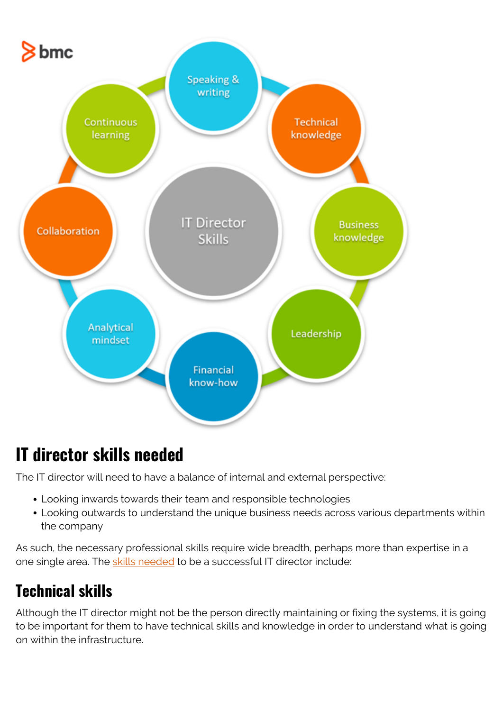

### **IT director skills needed**

The IT director will need to have a balance of internal and external perspective:

- Looking inwards towards their team and responsible technologies
- Looking outwards to understand the unique business needs across various departments within the company

As such, the necessary professional skills require wide breadth, perhaps more than expertise in a one single area. The [skills needed](https://www.indeed.com/hire/job-description/it-director) to be a successful IT director include:

#### **Technical skills**

Although the IT director might not be the person directly maintaining or fixing the systems, it is going to be important for them to have technical skills and knowledge in order to understand what is going on within the infrastructure.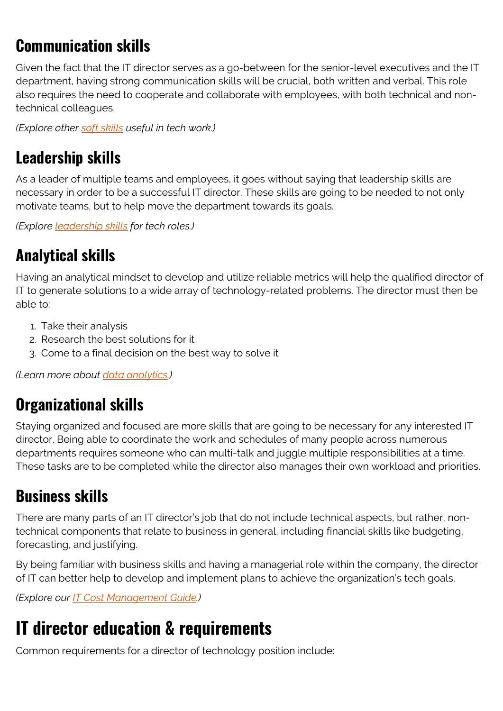### **Communication skills**

Given the fact that the IT director serves as a go-between for the senior-level executives and the IT department, having strong communication skills will be crucial, both written and verbal. This role also requires the need to cooperate and collaborate with employees, with both technical and nontechnical colleagues.

*(Explore other [soft skills](https://blogs.bmc.com/blogs/soft-skills/) useful in tech work.)*

#### **Leadership skills**

As a leader of multiple teams and employees, it goes without saying that leadership skills are necessary in order to be a successful IT director. These skills are going to be needed to not only motivate teams, but to help move the department towards its goals.

*(Explore [leadership skills](https://blogs.bmc.com/blogs/cio-leadership-qualities/) for tech roles.)*

#### **Analytical skills**

Having an analytical mindset to develop and utilize reliable metrics will help the qualified director of IT to generate solutions to a wide array of technology-related problems. The director must then be able to:

- 1. Take their analysis
- 2. Research the best solutions for it
- 3. Come to a final decision on the best way to solve it

*(Learn more about [data analytics.](https://blogs.bmc.com/blogs/data-analytics-vs-data-analysis))*

#### **Organizational skills**

Staying organized and focused are more skills that are going to be necessary for any interested IT director. Being able to coordinate the work and schedules of many people across numerous departments requires someone who can multi-talk and juggle multiple responsibilities at a time. These tasks are to be completed while the director also manages their own workload and priorities.

#### **Business skills**

There are many parts of an IT director's job that do not include technical aspects, but rather, nontechnical components that relate to business in general, including financial skills like budgeting, forecasting, and justifying.

By being familiar with business skills and having a managerial role within the company, the director of IT can better help to develop and implement plans to achieve the organization's tech goals.

*(Explore our [IT Cost Management Guide.](https://blogs.bmc.com/blogs/it-budget-management/))*

### **IT director education & requirements**

Common requirements for a director of technology position include: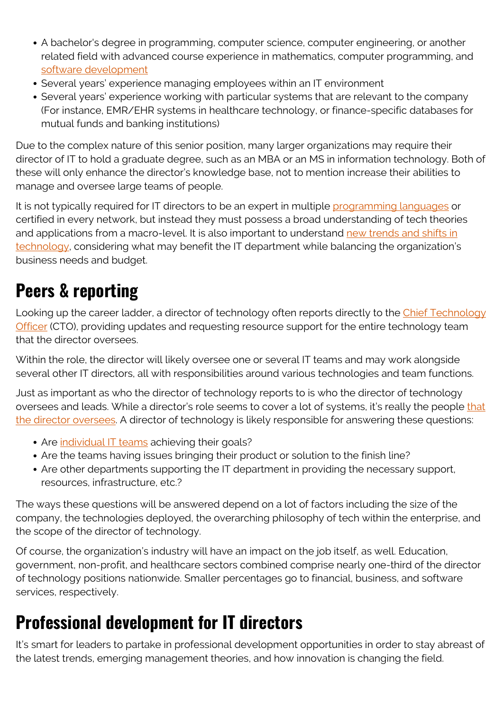- A bachelor's degree in programming, computer science, computer engineering, or another related field with advanced course experience in mathematics, computer programming, and [software development](https://blogs.bmc.com/blogs/sdlc-software-development-lifecycle/)
- Several years' experience managing employees within an IT environment
- Several years' experience working with particular systems that are relevant to the company (For instance, EMR/EHR systems in healthcare technology, or finance-specific databases for mutual funds and banking institutions)

Due to the complex nature of this senior position, many larger organizations may require their director of IT to hold a graduate degree, such as an MBA or an MS in information technology. Both of these will only enhance the director's knowledge base, not to mention increase their abilities to manage and oversee large teams of people.

It is not typically required for IT directors to be an expert in multiple [programming languages](https://blogs.bmc.com/blogs/programming-languages/) or certified in every network, but instead they must possess a broad understanding of tech theories and applications from a macro-level. It is also important to understand [new trends and shifts in](https://blogs.bmc.com/blogs/it-trends/) [technology,](https://blogs.bmc.com/blogs/it-trends/) considering what may benefit the IT department while balancing the organization's business needs and budget.

# **Peers & reporting**

Looking up the career ladder, a director of technology often reports directly to the [Chief Technology](https://blogs.bmc.com/blogs/cio-vs-cto-whats-the-difference/) [Officer](https://blogs.bmc.com/blogs/cio-vs-cto-whats-the-difference/) (CTO), providing updates and requesting resource support for the entire technology team that the director oversees.

Within the role, the director will likely oversee one or several IT teams and may work alongside several other IT directors, all with responsibilities around various technologies and team functions.

Just as important as who the director of technology reports to is who the director of technology oversees and leads. While a director's role seems to cover a lot of systems, it's really the people [that](https://swz.salary.com/salarywizard/Information-Technology-Director-Job-Description.aspx) [the director oversees.](https://swz.salary.com/salarywizard/Information-Technology-Director-Job-Description.aspx) A director of technology is likely responsible for answering these questions:

- Are [individual IT teams](https://blogs.bmc.com/blogs/it-teams/) achieving their goals?
- Are the teams having issues bringing their product or solution to the finish line?
- Are other departments supporting the IT department in providing the necessary support, resources, infrastructure, etc.?

The ways these questions will be answered depend on a lot of factors including the size of the company, the technologies deployed, the overarching philosophy of tech within the enterprise, and the scope of the director of technology.

Of course, the organization's industry will have an impact on the job itself, as well. Education, government, non-profit, and healthcare sectors combined comprise nearly one-third of the director of technology positions nationwide. Smaller percentages go to financial, business, and software services, respectively.

## **Professional development for IT directors**

It's smart for leaders to partake in professional development opportunities in order to stay abreast of the latest trends, emerging management theories, and how innovation is changing the field.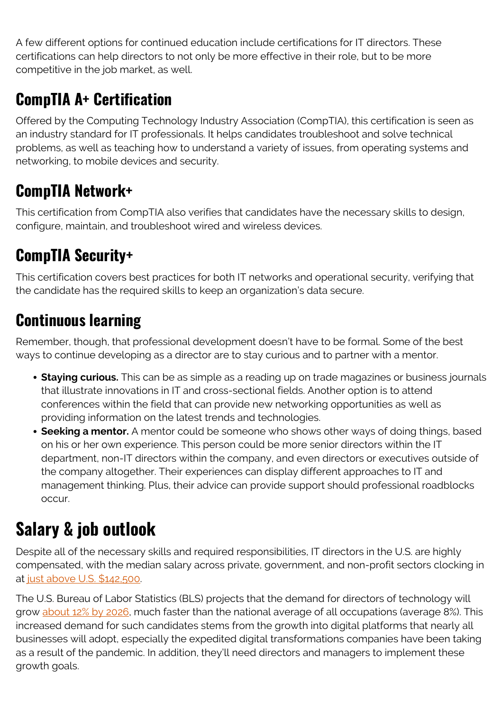A few different options for continued education include certifications for IT directors. These certifications can help directors to not only be more effective in their role, but to be more competitive in the job market, as well.

### **CompTIA A+ Certification**

Offered by the Computing Technology Industry Association (CompTIA), this certification is seen as an industry standard for IT professionals. It helps candidates troubleshoot and solve technical problems, as well as teaching how to understand a variety of issues, from operating systems and networking, to mobile devices and security.

### **CompTIA Network+**

This certification from CompTIA also verifies that candidates have the necessary skills to design, configure, maintain, and troubleshoot wired and wireless devices.

#### **CompTIA Security+**

This certification covers best practices for both IT networks and operational security, verifying that the candidate has the required skills to keep an organization's data secure.

#### **Continuous learning**

Remember, though, that professional development doesn't have to be formal. Some of the best ways to continue developing as a director are to stay curious and to partner with a mentor.

- **Staying curious.** This can be as simple as a reading up on trade magazines or business journals that illustrate innovations in IT and cross-sectional fields. Another option is to attend conferences within the field that can provide new networking opportunities as well as providing information on the latest trends and technologies.
- **Seeking a mentor.** A mentor could be someone who shows other ways of doing things, based on his or her own experience. This person could be more senior directors within the IT department, non-IT directors within the company, and even directors or executives outside of the company altogether. Their experiences can display different approaches to IT and management thinking. Plus, their advice can provide support should professional roadblocks occur.

## **Salary & job outlook**

Despite all of the necessary skills and required responsibilities, IT directors in the U.S. are highly compensated, with the median salary across private, government, and non-profit sectors clocking in at [just above U.S. \\$142,500.](https://www.bls.gov/ooh/management/computer-and-information-systems-managers.htm#tab-5)

The U.S. Bureau of Labor Statistics (BLS) projects that the demand for directors of technology will grow [about 12% by 2026,](https://www.bls.gov/ooh/management/computer-and-information-systems-managers.htm#tab-6) much faster than the national average of all occupations (average 8%). This increased demand for such candidates stems from the growth into digital platforms that nearly all businesses will adopt, especially the expedited digital transformations companies have been taking as a result of the pandemic. In addition, they'll need directors and managers to implement these growth goals.